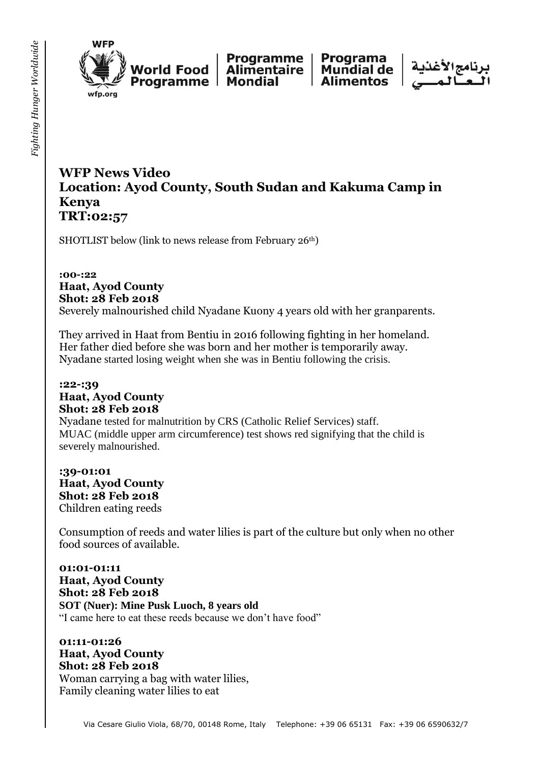

**Norld Food** fp.org

Programme **Alimentaire** Programme | Mondial

Programa **Mundial de Alimentos** 



# **WFP News Video Location: Ayod County, South Sudan and Kakuma Camp in Kenya TRT:02:57**

SHOTLIST below (link to news release from February 26<sup>th</sup>)

**:00-:22 Haat, Ayod County Shot: 28 Feb 2018** Severely malnourished child Nyadane Kuony 4 years old with her granparents.

They arrived in Haat from Bentiu in 2016 following fighting in her homeland. Her father died before she was born and her mother is temporarily away. Nyadane started losing weight when she was in Bentiu following the crisis.

### **:22-:39 Haat, Ayod County Shot: 28 Feb 2018** Nyadane tested for malnutrition by CRS (Catholic Relief Services) staff. MUAC (middle upper arm circumference) test shows red signifying that the child is severely malnourished.

**:39-01:01 Haat, Ayod County Shot: 28 Feb 2018** Children eating reeds

Consumption of reeds and water lilies is part of the culture but only when no other food sources of available.

**01:01-01:11 Haat, Ayod County Shot: 28 Feb 2018 SOT (Nuer): Mine Pusk Luoch, 8 years old**  "I came here to eat these reeds because we don't have food"

**01:11-01:26 Haat, Ayod County Shot: 28 Feb 2018** Woman carrying a bag with water lilies, Family cleaning water lilies to eat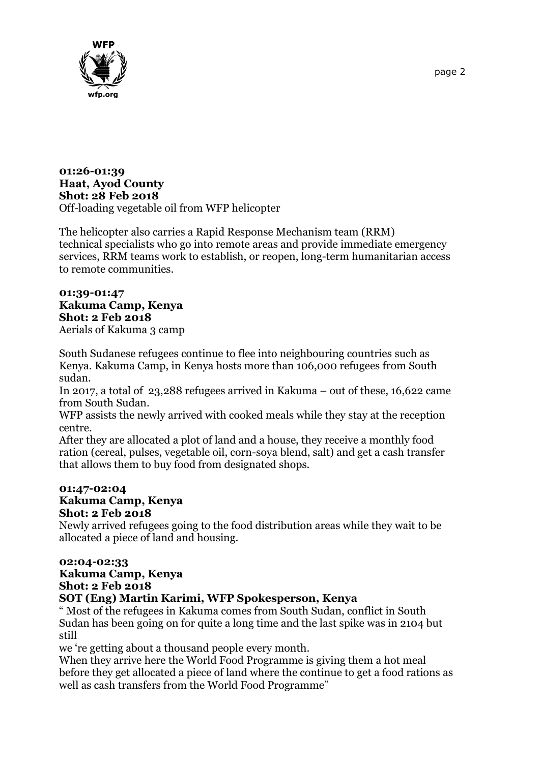

#### **01:26-01:39 Haat, Ayod County Shot: 28 Feb 2018** Off-loading vegetable oil from WFP helicopter

The helicopter also carries a Rapid Response Mechanism team (RRM) technical specialists who go into remote areas and provide immediate emergency services, RRM teams work to establish, or reopen, long-term humanitarian access to remote communities.

## **01:39-01:47 Kakuma Camp, Kenya Shot: 2 Feb 2018**

Aerials of Kakuma 3 camp

South Sudanese refugees continue to flee into neighbouring countries such as Kenya. Kakuma Camp, in Kenya hosts more than 106,000 refugees from South sudan.

In 2017, a total of 23,288 refugees arrived in Kakuma – out of these, 16,622 came from South Sudan.

WFP assists the newly arrived with cooked meals while they stay at the reception centre.

After they are allocated a plot of land and a house, they receive a monthly food ration (cereal, pulses, vegetable oil, corn-soya blend, salt) and get a cash transfer that allows them to buy food from designated shops.

#### **01:47-02:04 Kakuma Camp, Kenya Shot: 2 Feb 2018**

Newly arrived refugees going to the food distribution areas while they wait to be allocated a piece of land and housing.

### **02:04-02:33**

### **Kakuma Camp, Kenya Shot: 2 Feb 2018 SOT (Eng) Martin Karimi, WFP Spokesperson, Kenya**

" Most of the refugees in Kakuma comes from South Sudan, conflict in South Sudan has been going on for quite a long time and the last spike was in 2104 but still

we 're getting about a thousand people every month.

When they arrive here the World Food Programme is giving them a hot meal before they get allocated a piece of land where the continue to get a food rations as well as cash transfers from the World Food Programme"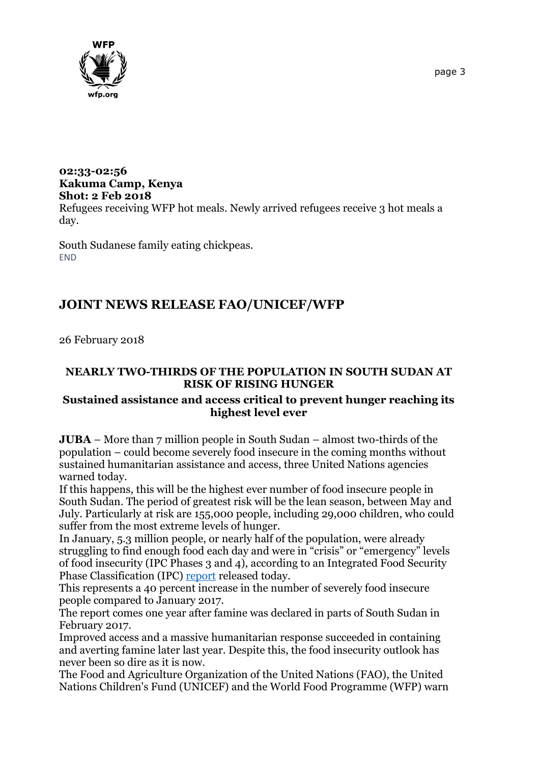

### **02:33-02:56 Kakuma Camp, Kenya Shot: 2 Feb 2018** Refugees receiving WFP hot meals. Newly arrived refugees receive 3 hot meals a day.

South Sudanese family eating chickpeas. **FND** 

# **JOINT NEWS RELEASE FAO/UNICEF/WFP**

26 February 2018

### **NEARLY TWO-THIRDS OF THE POPULATION IN SOUTH SUDAN AT RISK OF RISING HUNGER**

### **Sustained assistance and access critical to prevent hunger reaching its highest level ever**

**JUBA** – More than 7 million people in South Sudan – almost two-thirds of the population – could become severely food insecure in the coming months without sustained humanitarian assistance and access, three United Nations agencies warned today.

If this happens, this will be the highest ever number of food insecure people in South Sudan. The period of greatest risk will be the lean season, between May and July. Particularly at risk are 155,000 people, including 29,000 children, who could suffer from the most extreme levels of hunger.

In January, 5.3 million people, or nearly half of the population, were already struggling to find enough food each day and were in "crisis" or "emergency" levels of food insecurity (IPC Phases 3 and 4), according to an Integrated Food Security Phase Classification (IPC) [report](http://www.ipcinfo.org/ipcinfo-detail-forms/ipcinfo-map-detail/en/c/1103832/) released today.

This represents a 40 percent increase in the number of severely food insecure people compared to January 2017.

The report comes one year after famine was declared in parts of South Sudan in February 2017.

Improved access and a massive humanitarian response succeeded in containing and averting famine later last year. Despite this, the food insecurity outlook has never been so dire as it is now.

The Food and Agriculture Organization of the United Nations (FAO), the United Nations Children's Fund (UNICEF) and the World Food Programme (WFP) warn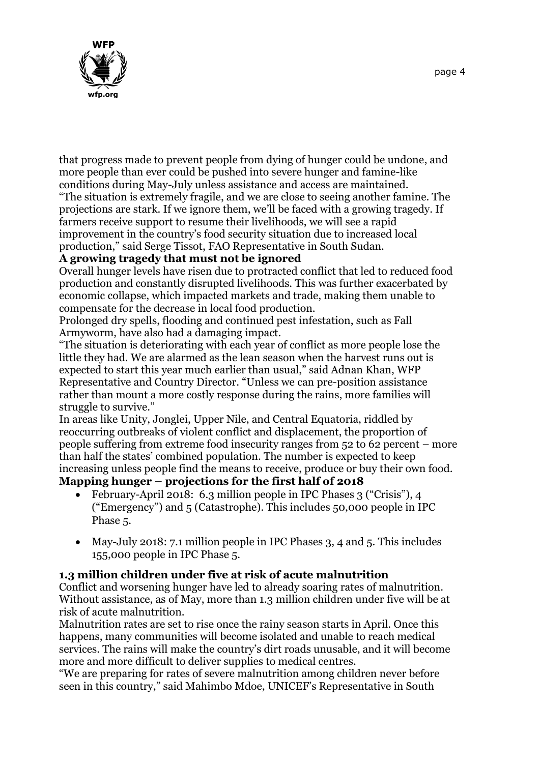

that progress made to prevent people from dying of hunger could be undone, and more people than ever could be pushed into severe hunger and famine-like conditions during May-July unless assistance and access are maintained.

"The situation is extremely fragile, and we are close to seeing another famine. The projections are stark. If we ignore them, we'll be faced with a growing tragedy. If farmers receive support to resume their livelihoods, we will see a rapid improvement in the country's food security situation due to increased local production," said Serge Tissot, FAO Representative in South Sudan.

### **A growing tragedy that must not be ignored**

Overall hunger levels have risen due to protracted conflict that led to reduced food production and constantly disrupted livelihoods. This was further exacerbated by economic collapse, which impacted markets and trade, making them unable to compensate for the decrease in local food production.

Prolonged dry spells, flooding and continued pest infestation, such as Fall Armyworm, have also had a damaging impact.

"The situation is deteriorating with each year of conflict as more people lose the little they had. We are alarmed as the lean season when the harvest runs out is expected to start this year much earlier than usual," said Adnan Khan, WFP Representative and Country Director. "Unless we can pre-position assistance rather than mount a more costly response during the rains, more families will struggle to survive."

In areas like Unity, Jonglei, Upper Nile, and Central Equatoria, riddled by reoccurring outbreaks of violent conflict and displacement, the proportion of people suffering from extreme food insecurity ranges from 52 to 62 percent – more than half the states' combined population. The number is expected to keep increasing unless people find the means to receive, produce or buy their own food.

# **Mapping hunger – projections for the first half of 2018**

- February-April 2018: 6.3 million people in IPC Phases 3 ("Crisis"), 4 ("Emergency") and 5 (Catastrophe). This includes 50,000 people in IPC Phase 5.
- May-July 2018: 7.1 million people in IPC Phases 3, 4 and 5. This includes 155,000 people in IPC Phase 5.

## **1.3 million children under five at risk of acute malnutrition**

Conflict and worsening hunger have led to already soaring rates of malnutrition. Without assistance, as of May, more than 1.3 million children under five will be at risk of acute malnutrition.

Malnutrition rates are set to rise once the rainy season starts in April. Once this happens, many communities will become isolated and unable to reach medical services. The rains will make the country's dirt roads unusable, and it will become more and more difficult to deliver supplies to medical centres.

"We are preparing for rates of severe malnutrition among children never before seen in this country," said Mahimbo Mdoe, UNICEF's Representative in South